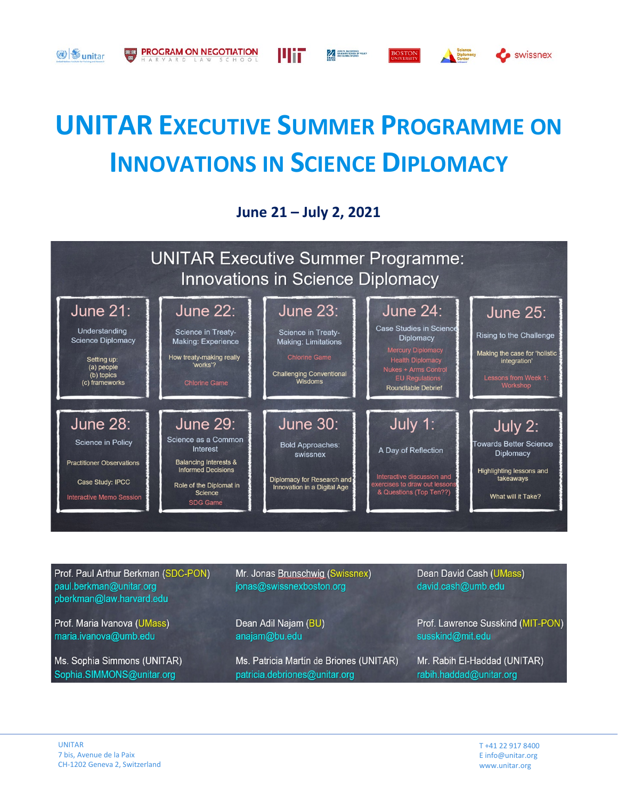

Шіг

**ALL STRANGE SCHOOLS** 

**BOSTON** 

PROGRAM ON NEGOTIATION

**3** sunitar

**June 21 – July 2, 2021**



| Prof. Paul Arthur Berkman (SDC-PON)<br>paul.berkman@unitar.org<br>pberkman@law.harvard.edu | Mr. Jonas Brunschwig (Swissnex)<br>jonas@swissnexboston.org | Dean David Cash (UMass)<br>david.cash@umb.edu |
|--------------------------------------------------------------------------------------------|-------------------------------------------------------------|-----------------------------------------------|
| Prof. Maria Ivanova (UMass)                                                                | Dean Adil Najam (BU)                                        | Prof. Lawrence Susskind (MIT-PON)             |
| maria.ivanova@umb.edu                                                                      | anajam@bu.edu                                               | susskind@mit.edu                              |
| Ms. Sophia Simmons (UNITAR)                                                                | Ms. Patricia Martín de Briones (UNITAR)                     | Mr. Rabih El-Haddad (UNITAR)                  |
| Sophia.SIMMONS@unitar.org                                                                  | patricia.debriones@unitar.org                               | rabih.haddad@unitar.org                       |

**C** swissnex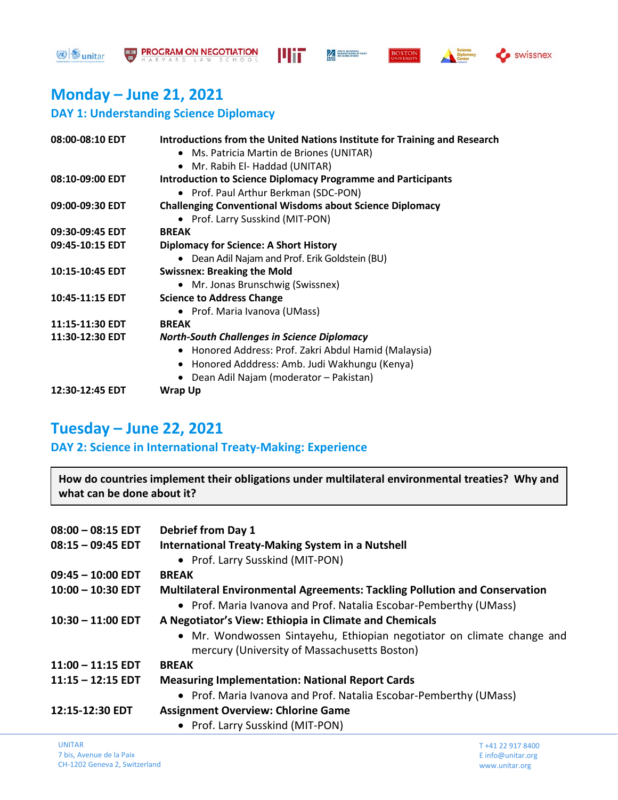**3** sunitar









## **Monday – June 21, 2021**

### **DAY 1: Understanding Science Diplomacy**

| 08:00-08:10 EDT | Introductions from the United Nations Institute for Training and Research |
|-----------------|---------------------------------------------------------------------------|
|                 | • Ms. Patricia Martin de Briones (UNITAR)                                 |
|                 | Mr. Rabih El- Haddad (UNITAR)<br>$\bullet$                                |
| 08:10-09:00 EDT | <b>Introduction to Science Diplomacy Programme and Participants</b>       |
|                 | • Prof. Paul Arthur Berkman (SDC-PON)                                     |
| 09:00-09:30 EDT | <b>Challenging Conventional Wisdoms about Science Diplomacy</b>           |
|                 | • Prof. Larry Susskind (MIT-PON)                                          |
| 09:30-09:45 EDT | <b>BREAK</b>                                                              |
| 09:45-10:15 EDT | <b>Diplomacy for Science: A Short History</b>                             |
|                 | • Dean Adil Najam and Prof. Erik Goldstein (BU)                           |
| 10:15-10:45 EDT | <b>Swissnex: Breaking the Mold</b>                                        |
|                 | • Mr. Jonas Brunschwig (Swissnex)                                         |
| 10:45-11:15 EDT | <b>Science to Address Change</b>                                          |
|                 | • Prof. Maria Ivanova (UMass)                                             |
| 11:15-11:30 EDT | <b>BREAK</b>                                                              |
| 11:30-12:30 EDT | <b>North-South Challenges in Science Diplomacy</b>                        |
|                 | • Honored Address: Prof. Zakri Abdul Hamid (Malaysia)                     |
|                 | • Honored Adddress: Amb. Judi Wakhungu (Kenya)                            |
|                 | • Dean Adil Najam (moderator - Pakistan)                                  |
| 12:30-12:45 EDT | Wrap Up                                                                   |
|                 |                                                                           |

## **Tuesday – June 22, 2021**

**DAY 2: Science in International Treaty-Making: Experience**

**How do countries implement their obligations under multilateral environmental treaties? Why and what can be done about it?**

| $08:00 - 08:15$ EDT | <b>Debrief from Day 1</b>                                                                                              |
|---------------------|------------------------------------------------------------------------------------------------------------------------|
| $08:15 - 09:45$ EDT | <b>International Treaty-Making System in a Nutshell</b>                                                                |
|                     | • Prof. Larry Susskind (MIT-PON)                                                                                       |
| $09:45 - 10:00$ EDT | <b>BREAK</b>                                                                                                           |
| $10:00 - 10:30$ EDT | Multilateral Environmental Agreements: Tackling Pollution and Conservation                                             |
|                     | • Prof. Maria Ivanova and Prof. Natalia Escobar-Pemberthy (UMass)                                                      |
| $10:30 - 11:00$ EDT | A Negotiator's View: Ethiopia in Climate and Chemicals                                                                 |
|                     | • Mr. Wondwossen Sintayehu, Ethiopian negotiator on climate change and<br>mercury (University of Massachusetts Boston) |
| $11:00 - 11:15$ EDT | <b>BREAK</b>                                                                                                           |
| $11:15 - 12:15$ EDT | <b>Measuring Implementation: National Report Cards</b>                                                                 |
|                     | • Prof. Maria Ivanova and Prof. Natalia Escobar-Pemberthy (UMass)                                                      |
| 12:15-12:30 EDT     | <b>Assignment Overview: Chlorine Game</b>                                                                              |
|                     | • Prof. Larry Susskind (MIT-PON)                                                                                       |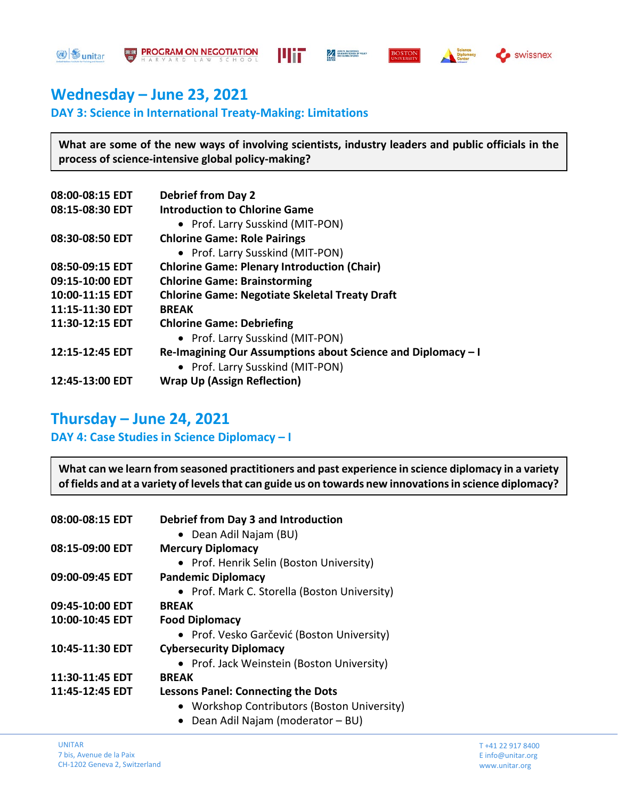





swissnex

## **Wednesday – June 23, 2021**

### **DAY 3: Science in International Treaty-Making: Limitations**

**What are some of the new ways of involving scientists, industry leaders and public officials in the process of science-intensive global policy-making?**

| 08:00-08:15 EDT | <b>Debrief from Day 2</b>                                    |
|-----------------|--------------------------------------------------------------|
| 08:15-08:30 EDT | <b>Introduction to Chlorine Game</b>                         |
|                 | • Prof. Larry Susskind (MIT-PON)                             |
| 08:30-08:50 EDT | <b>Chlorine Game: Role Pairings</b>                          |
|                 | • Prof. Larry Susskind (MIT-PON)                             |
| 08:50-09:15 EDT | <b>Chlorine Game: Plenary Introduction (Chair)</b>           |
| 09:15-10:00 EDT | <b>Chlorine Game: Brainstorming</b>                          |
| 10:00-11:15 EDT | <b>Chlorine Game: Negotiate Skeletal Treaty Draft</b>        |
| 11:15-11:30 EDT | <b>BREAK</b>                                                 |
| 11:30-12:15 EDT | <b>Chlorine Game: Debriefing</b>                             |
|                 | • Prof. Larry Susskind (MIT-PON)                             |
| 12:15-12:45 EDT | Re-Imagining Our Assumptions about Science and Diplomacy - I |
|                 | • Prof. Larry Susskind (MIT-PON)                             |
| 12:45-13:00 EDT | <b>Wrap Up (Assign Reflection)</b>                           |
|                 |                                                              |

## **Thursday – June 24, 2021**

### **DAY 4: Case Studies in Science Diplomacy – I**

**What can we learn from seasoned practitioners and past experience in science diplomacy in a variety of fields and at a variety of levels that can guide us on towards new innovations in science diplomacy?** 

| 08:00-08:15 EDT | <b>Debrief from Day 3 and Introduction</b>   |
|-----------------|----------------------------------------------|
|                 | • Dean Adil Najam (BU)                       |
| 08:15-09:00 EDT | <b>Mercury Diplomacy</b>                     |
|                 | • Prof. Henrik Selin (Boston University)     |
| 09:00-09:45 EDT | <b>Pandemic Diplomacy</b>                    |
|                 | • Prof. Mark C. Storella (Boston University) |
| 09:45-10:00 EDT | <b>BREAK</b>                                 |
| 10:00-10:45 EDT | <b>Food Diplomacy</b>                        |
|                 | • Prof. Vesko Garčević (Boston University)   |
| 10:45-11:30 EDT | <b>Cybersecurity Diplomacy</b>               |
|                 | • Prof. Jack Weinstein (Boston University)   |
| 11:30-11:45 EDT | <b>BREAK</b>                                 |
| 11:45-12:45 EDT | <b>Lessons Panel: Connecting the Dots</b>    |
|                 | • Workshop Contributors (Boston University)  |
|                 | Dean Adil Najam (moderator - BU)             |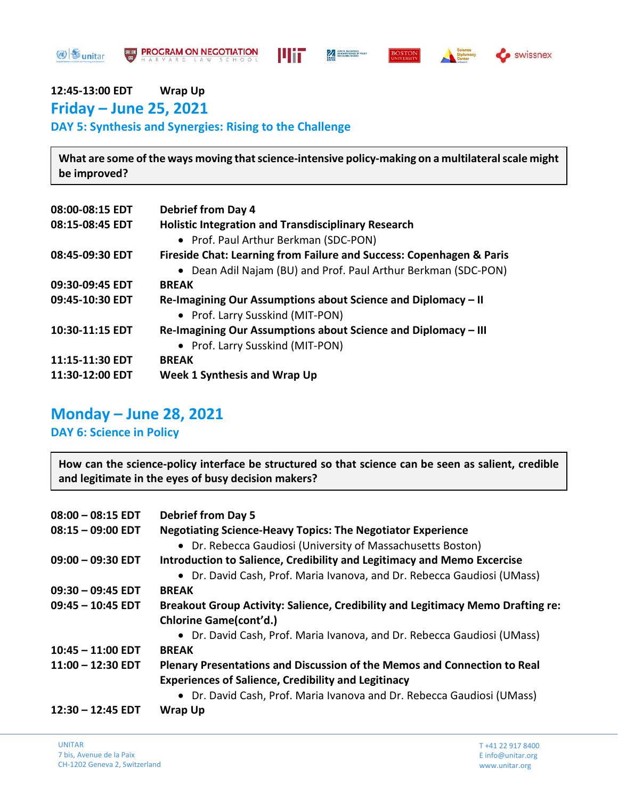**3** sunitar









# **12:45-13:00 EDT Wrap Up**

**Friday – June 25, 2021 DAY 5: Synthesis and Synergies: Rising to the Challenge**

**What are some of the ways moving that science-intensive policy-making on a multilateral scale might be improved?**

| 08:00-08:15 EDT | <b>Debrief from Day 4</b>                                            |
|-----------------|----------------------------------------------------------------------|
| 08:15-08:45 EDT | <b>Holistic Integration and Transdisciplinary Research</b>           |
|                 | • Prof. Paul Arthur Berkman (SDC-PON)                                |
| 08:45-09:30 EDT | Fireside Chat: Learning from Failure and Success: Copenhagen & Paris |
|                 | • Dean Adil Najam (BU) and Prof. Paul Arthur Berkman (SDC-PON)       |
| 09:30-09:45 EDT | <b>BREAK</b>                                                         |
| 09:45-10:30 EDT | Re-Imagining Our Assumptions about Science and Diplomacy – II        |
|                 | • Prof. Larry Susskind (MIT-PON)                                     |
| 10:30-11:15 EDT | Re-Imagining Our Assumptions about Science and Diplomacy – III       |
|                 | • Prof. Larry Susskind (MIT-PON)                                     |
| 11:15-11:30 EDT | <b>BREAK</b>                                                         |
| 11:30-12:00 EDT | Week 1 Synthesis and Wrap Up                                         |

## **Monday – June 28, 2021**

**DAY 6: Science in Policy**

**How can the science-policy interface be structured so that science can be seen as salient, credible and legitimate in the eyes of busy decision makers?**

| $08:00 - 08:15$ EDT | <b>Debrief from Day 5</b>                                                       |
|---------------------|---------------------------------------------------------------------------------|
| $08:15 - 09:00$ EDT | <b>Negotiating Science-Heavy Topics: The Negotiator Experience</b>              |
|                     | • Dr. Rebecca Gaudiosi (University of Massachusetts Boston)                     |
| $09:00 - 09:30$ EDT | Introduction to Salience, Credibility and Legitimacy and Memo Excercise         |
|                     | • Dr. David Cash, Prof. Maria Ivanova, and Dr. Rebecca Gaudiosi (UMass)         |
| $09:30 - 09:45$ EDT | <b>BREAK</b>                                                                    |
| $09:45 - 10:45$ EDT | Breakout Group Activity: Salience, Credibility and Legitimacy Memo Drafting re: |
|                     | Chlorine Game(cont'd.)                                                          |
|                     | • Dr. David Cash, Prof. Maria Ivanova, and Dr. Rebecca Gaudiosi (UMass)         |
| $10:45 - 11:00$ EDT | <b>BREAK</b>                                                                    |
| $11:00 - 12:30$ EDT | <b>Plenary Presentations and Discussion of the Memos and Connection to Real</b> |
|                     | <b>Experiences of Salience, Credibility and Legitinacy</b>                      |
|                     | • Dr. David Cash, Prof. Maria Ivanova and Dr. Rebecca Gaudiosi (UMass)          |
| 12:30 - 12:45 EDT   | <b>Wrap Up</b>                                                                  |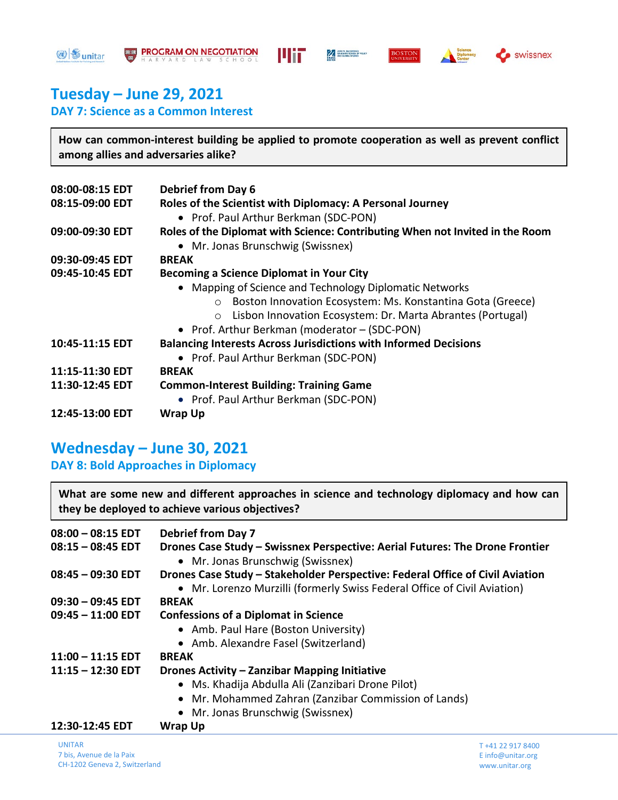**3** sunitar









# **Tuesday – June 29, 2021**

**DAY 7: Science as a Common Interest**

**How can common-interest building be applied to promote cooperation as well as prevent conflict among allies and adversaries alike?**

| <b>Debrief from Day 6</b>                                                     |
|-------------------------------------------------------------------------------|
| Roles of the Scientist with Diplomacy: A Personal Journey                     |
| • Prof. Paul Arthur Berkman (SDC-PON)                                         |
| Roles of the Diplomat with Science: Contributing When not Invited in the Room |
| • Mr. Jonas Brunschwig (Swissnex)                                             |
| <b>BREAK</b>                                                                  |
| <b>Becoming a Science Diplomat in Your City</b>                               |
| • Mapping of Science and Technology Diplomatic Networks                       |
| Boston Innovation Ecosystem: Ms. Konstantina Gota (Greece)<br>$\circ$         |
| Lisbon Innovation Ecosystem: Dr. Marta Abrantes (Portugal)                    |
| • Prof. Arthur Berkman (moderator - (SDC-PON)                                 |
| <b>Balancing Interests Across Jurisdictions with Informed Decisions</b>       |
| • Prof. Paul Arthur Berkman (SDC-PON)                                         |
| <b>BREAK</b>                                                                  |
| <b>Common-Interest Building: Training Game</b>                                |
| • Prof. Paul Arthur Berkman (SDC-PON)                                         |
| <b>Wrap Up</b>                                                                |
|                                                                               |

## **Wednesday – June 30, 2021**

**DAY 8: Bold Approaches in Diplomacy**

**What are some new and different approaches in science and technology diplomacy and how can they be deployed to achieve various objectives?**

| $08:00 - 08:15$ EDT | <b>Debrief from Day 7</b>                                                                                                                                 |
|---------------------|-----------------------------------------------------------------------------------------------------------------------------------------------------------|
| $08:15 - 08:45$ EDT | Drones Case Study – Swissnex Perspective: Aerial Futures: The Drone Frontier<br>• Mr. Jonas Brunschwig (Swissnex)                                         |
| $08:45 - 09:30$ EDT | Drones Case Study - Stakeholder Perspective: Federal Office of Civil Aviation<br>• Mr. Lorenzo Murzilli (formerly Swiss Federal Office of Civil Aviation) |
| $09:30 - 09:45$ EDT | <b>BREAK</b>                                                                                                                                              |
| $09:45 - 11:00$ EDT | <b>Confessions of a Diplomat in Science</b>                                                                                                               |
|                     | • Amb. Paul Hare (Boston University)                                                                                                                      |
|                     | • Amb. Alexandre Fasel (Switzerland)                                                                                                                      |
| $11:00 - 11:15$ EDT | <b>BREAK</b>                                                                                                                                              |
| $11:15 - 12:30$ EDT | Drones Activity - Zanzibar Mapping Initiative                                                                                                             |
|                     | • Ms. Khadija Abdulla Ali (Zanzibari Drone Pilot)                                                                                                         |
|                     | • Mr. Mohammed Zahran (Zanzibar Commission of Lands)                                                                                                      |
|                     | • Mr. Jonas Brunschwig (Swissnex)                                                                                                                         |
| 12:30-12:45 EDT     | <b>Wrap Up</b>                                                                                                                                            |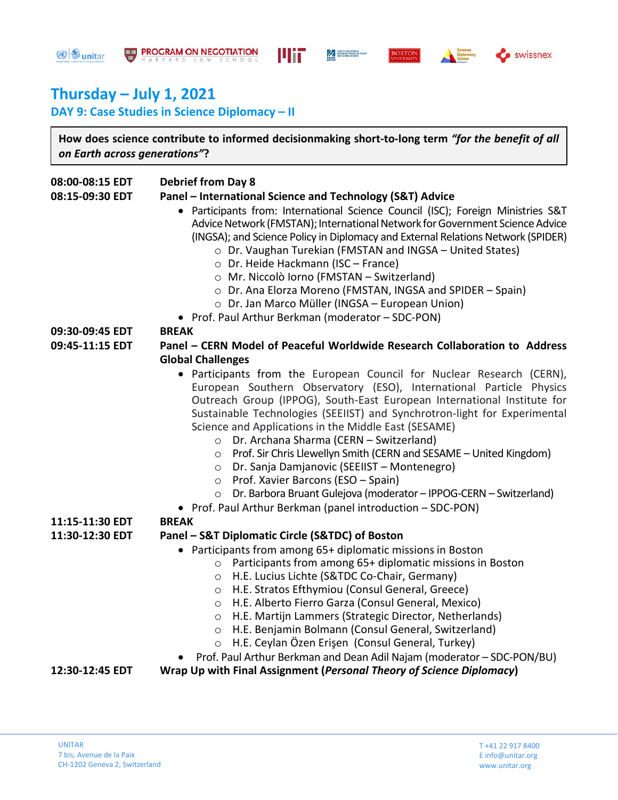**<sup>③</sup> vnitar** 









# **Thursday – July 1, 2021**

**DAY 9: Case Studies in Science Diplomacy – II**

**How does science contribute to informed decisionmaking short-to-long term** *"for the benefit of all on Earth across generations"***?** 

| 08:00-08:15 EDT | <b>Debrief from Day 8</b>                                                        |
|-----------------|----------------------------------------------------------------------------------|
| 08:15-09:30 EDT | Panel - International Science and Technology (S&T) Advice                        |
|                 | • Participants from: International Science Council (ISC); Foreign Ministries S&T |
|                 | Advice Network (FMSTAN); International Network for Government Science Advice     |
|                 | (INGSA); and Science Policy in Diplomacy and External Relations Network (SPIDER) |
|                 | $\circ$ Dr. Vaughan Turekian (FMSTAN and INGSA – United States)                  |
|                 | ○ Dr. Heide Hackmann (ISC - France)                                              |
|                 | o Mr. Niccolò Iorno (FMSTAN - Switzerland)                                       |
|                 | o Dr. Ana Elorza Moreno (FMSTAN, INGSA and SPIDER - Spain)                       |
|                 | o Dr. Jan Marco Müller (INGSA - European Union)                                  |
|                 | • Prof. Paul Arthur Berkman (moderator - SDC-PON)                                |
| 09:30-09:45 EDT | <b>BREAK</b>                                                                     |
| 09:45-11:15 EDT | Panel - CERN Model of Peaceful Worldwide Research Collaboration to Address       |
|                 | <b>Global Challenges</b>                                                         |
|                 | • Participants from the European Council for Nuclear Research (CERN),            |
|                 | European Southern Observatory (ESO), International Particle Physics              |
|                 | Outreach Group (IPPOG), South-East European International Institute for          |
|                 | Sustainable Technologies (SEEIIST) and Synchrotron-light for Experimental        |
|                 | Science and Applications in the Middle East (SESAME)                             |
|                 | Dr. Archana Sharma (CERN - Switzerland)<br>$\circ$                               |
|                 | Prof. Sir Chris Llewellyn Smith (CERN and SESAME - United Kingdom)<br>$\circ$    |
|                 | Dr. Sanja Damjanovic (SEEIIST - Montenegro)<br>$\circ$                           |
|                 | Prof. Xavier Barcons (ESO - Spain)<br>$\circ$                                    |
|                 | Dr. Barbora Bruant Gulejova (moderator - IPPOG-CERN - Switzerland)<br>$\circ$    |
|                 | • Prof. Paul Arthur Berkman (panel introduction - SDC-PON)                       |
| 11:15-11:30 EDT | <b>BREAK</b>                                                                     |
| 11:30-12:30 EDT | Panel - S&T Diplomatic Circle (S&TDC) of Boston                                  |
|                 | • Participants from among 65+ diplomatic missions in Boston                      |
|                 | Participants from among 65+ diplomatic missions in Boston<br>$\circ$             |
|                 | H.E. Lucius Lichte (S&TDC Co-Chair, Germany)<br>$\circ$                          |
|                 | H.E. Stratos Efthymiou (Consul General, Greece)<br>$\circ$                       |
|                 | H.E. Alberto Fierro Garza (Consul General, Mexico)<br>$\circ$                    |
|                 | H.E. Martijn Lammers (Strategic Director, Netherlands)<br>$\circ$                |
|                 | H.E. Benjamin Bolmann (Consul General, Switzerland)<br>$\circ$                   |
|                 | H.E. Ceylan Özen Erişen (Consul General, Turkey)<br>$\circ$                      |
|                 | Prof. Paul Arthur Berkman and Dean Adil Najam (moderator - SDC-PON/BU)           |
| 12:30-12:45 EDT | Wrap Up with Final Assignment (Personal Theory of Science Diplomacy)             |
|                 |                                                                                  |